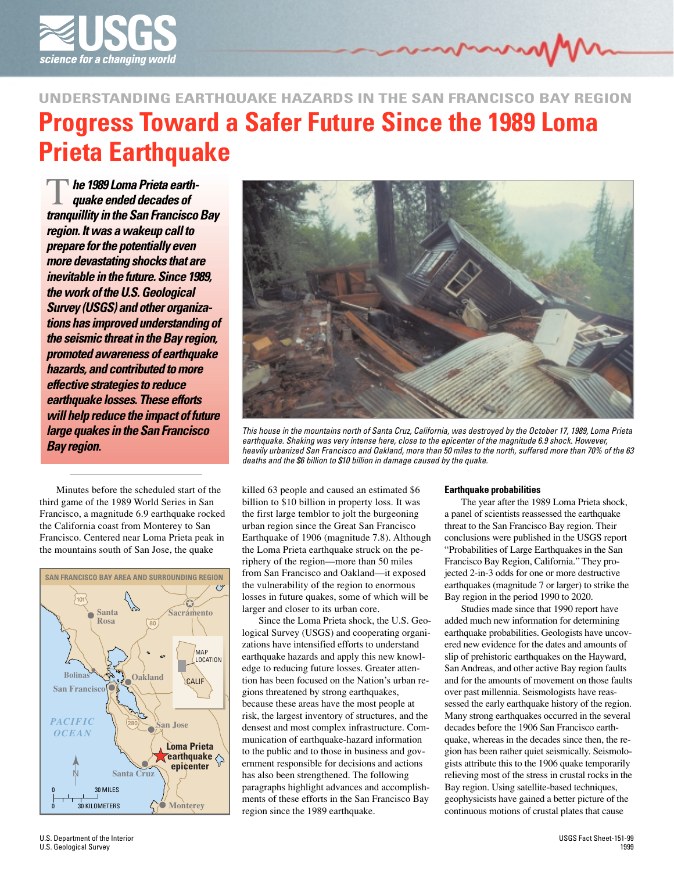

# **Progress Toward a Safer Future Since the 1989 Loma Prieta Earthquake UNDERSTANDING EARTHQUAKE HAZARDS IN THE SAN FRANCISCO BAY REGION**

**The 1989 Loma Prieta earth-<br>quake ended decades of<br>tranquillity in the San Francisco Bay he 1989 Loma Prieta earthquake ended decades of region. It was a wakeup call to prepare for the potentially even more devastating shocks that are inevitable in the future. Since 1989, the work of the U.S. Geological Survey (USGS) and other organizations has improved understanding of the seismic threat in the Bay region, promoted awareness of earthquake hazards, and contributed to more effective strategies to reduce earthquake losses. These efforts will help reduce the impact of future large quakes in the San Francisco Bay region.**

Minutes before the scheduled start of the third game of the 1989 World Series in San Francisco, a magnitude 6.9 earthquake rocked the California coast from Monterey to San Francisco. Centered near Loma Prieta peak in the mountains south of San Jose, the quake





This house in the mountains north of Santa Cruz, California, was destroyed by the October 17, 1989, Loma Prieta earthquake. Shaking was very intense here, close to the epicenter of the magnitude 6.9 shock. However, heavily urbanized San Francisco and Oakland, more than 50 miles to the north, suffered more than 70% of the 63 deaths and the \$6 billion to \$10 billion in damage caused by the quake.

killed 63 people and caused an estimated \$6 billion to \$10 billion in property loss. It was the first large temblor to jolt the burgeoning urban region since the Great San Francisco Earthquake of 1906 (magnitude 7.8). Although the Loma Prieta earthquake struck on the periphery of the region—more than 50 miles from San Francisco and Oakland—it exposed the vulnerability of the region to enormous losses in future quakes, some of which will be larger and closer to its urban core.

Since the Loma Prieta shock, the U.S. Geological Survey (USGS) and cooperating organizations have intensified efforts to understand earthquake hazards and apply this new knowledge to reducing future losses. Greater attention has been focused on the Nation's urban regions threatened by strong earthquakes, because these areas have the most people at risk, the largest inventory of structures, and the densest and most complex infrastructure. Communication of earthquake-hazard information to the public and to those in business and government responsible for decisions and actions has also been strengthened. The following paragraphs highlight advances and accomplishments of these efforts in the San Francisco Bay region since the 1989 earthquake.

## **Earthquake probabilities**

The year after the 1989 Loma Prieta shock, a panel of scientists reassessed the earthquake threat to the San Francisco Bay region. Their conclusions were published in the USGS report "Probabilities of Large Earthquakes in the San Francisco Bay Region, California." They projected 2-in-3 odds for one or more destructive earthquakes (magnitude 7 or larger) to strike the Bay region in the period 1990 to 2020.

Studies made since that 1990 report have added much new information for determining earthquake probabilities. Geologists have uncovered new evidence for the dates and amounts of slip of prehistoric earthquakes on the Hayward, San Andreas, and other active Bay region faults and for the amounts of movement on those faults over past millennia. Seismologists have reassessed the early earthquake history of the region. Many strong earthquakes occurred in the several decades before the 1906 San Francisco earthquake, whereas in the decades since then, the region has been rather quiet seismically. Seismologists attribute this to the 1906 quake temporarily relieving most of the stress in crustal rocks in the Bay region. Using satellite-based techniques, geophysicists have gained a better picture of the continuous motions of crustal plates that cause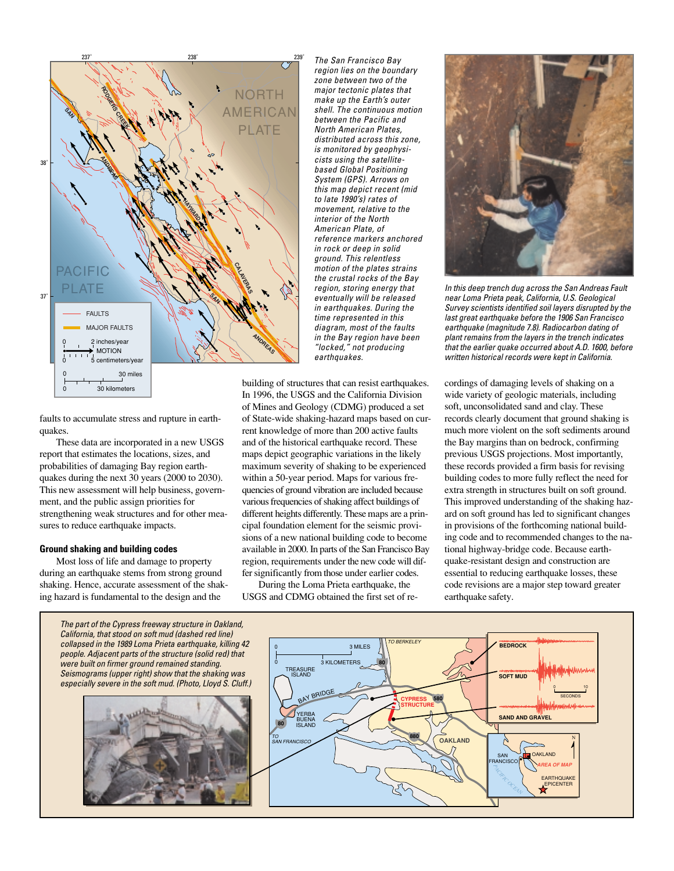

faults to accumulate stress and rupture in earthquakes.

These data are incorporated in a new USGS report that estimates the locations, sizes, and probabilities of damaging Bay region earthquakes during the next 30 years (2000 to 2030). This new assessment will help business, government, and the public assign priorities for strengthening weak structures and for other measures to reduce earthquake impacts.

## **Ground shaking and building codes**

Most loss of life and damage to property during an earthquake stems from strong ground shaking. Hence, accurate assessment of the shaking hazard is fundamental to the design and the

The San Francisco Bay region lies on the boundary zone between two of the major tectonic plates that make up the Earth's outer shell. The continuous motion between the Pacific and North American Plates, distributed across this zone, is monitored by geophysicists using the satellitebased Global Positioning System (GPS). Arrows on this map depict recent (mid to late 1990's) rates of movement, relative to the interior of the North American Plate, of reference markers anchored in rock or deep in solid ground. This relentless motion of the plates strains the crustal rocks of the Bay region, storing energy that eventually will be released in earthquakes. During the time represented in this diagram, most of the faults in the Bay region have been "locked," not producing earthquakes.

building of structures that can resist earthquakes. In 1996, the USGS and the California Division of Mines and Geology (CDMG) produced a set of State-wide shaking-hazard maps based on current knowledge of more than 200 active faults and of the historical earthquake record. These maps depict geographic variations in the likely maximum severity of shaking to be experienced within a 50-year period. Maps for various frequencies of ground vibration are included because various frequencies of shaking affect buildings of different heights differently. These maps are a principal foundation element for the seismic provisions of a new national building code to become available in 2000. In parts of the San Francisco Bay region, requirements under the new code will differ significantly from those under earlier codes.

During the Loma Prieta earthquake, the USGS and CDMG obtained the first set of re-



In this deep trench dug across the San Andreas Fault near Loma Prieta peak, California, U.S. Geological Survey scientists identified soil layers disrupted by the last great earthquake before the 1906 San Francisco earthquake (magnitude 7.8). Radiocarbon dating of plant remains from the layers in the trench indicates that the earlier quake occurred about A.D. 1600, before written historical records were kept in California.

cordings of damaging levels of shaking on a wide variety of geologic materials, including soft, unconsolidated sand and clay. These records clearly document that ground shaking is much more violent on the soft sediments around the Bay margins than on bedrock, confirming previous USGS projections. Most importantly, these records provided a firm basis for revising building codes to more fully reflect the need for extra strength in structures built on soft ground. This improved understanding of the shaking hazard on soft ground has led to significant changes in provisions of the forthcoming national building code and to recommended changes to the national highway-bridge code. Because earthquake-resistant design and construction are essential to reducing earthquake losses, these code revisions are a major step toward greater earthquake safety.

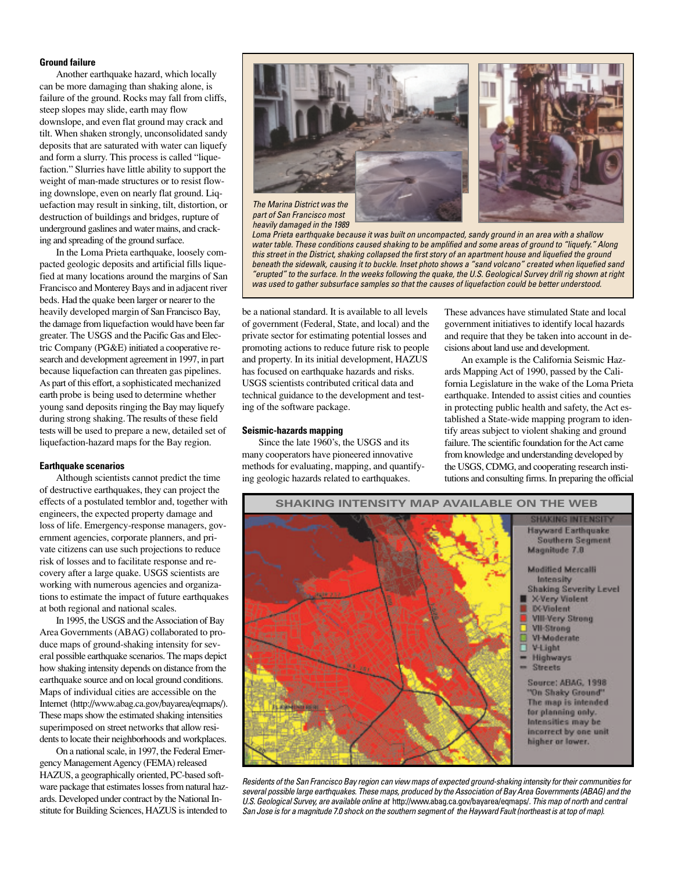### **Ground failure**

Another earthquake hazard, which locally can be more damaging than shaking alone, is failure of the ground. Rocks may fall from cliffs, steep slopes may slide, earth may flow downslope, and even flat ground may crack and tilt. When shaken strongly, unconsolidated sandy deposits that are saturated with water can liquefy and form a slurry. This process is called "liquefaction." Slurries have little ability to support the weight of man-made structures or to resist flowing downslope, even on nearly flat ground. Liquefaction may result in sinking, tilt, distortion, or destruction of buildings and bridges, rupture of underground gaslines and water mains, and cracking and spreading of the ground surface.

In the Loma Prieta earthquake, loosely compacted geologic deposits and artificial fills liquefied at many locations around the margins of San Francisco and Monterey Bays and in adjacent river beds. Had the quake been larger or nearer to the heavily developed margin of San Francisco Bay, the damage from liquefaction would have been far greater. The USGS and the Pacific Gas and Electric Company (PG&E) initiated a cooperative research and development agreement in 1997, in part because liquefaction can threaten gas pipelines. As part of this effort, a sophisticated mechanized earth probe is being used to determine whether young sand deposits ringing the Bay may liquefy during strong shaking. The results of these field tests will be used to prepare a new, detailed set of liquefaction-hazard maps for the Bay region.

## **Earthquake scenarios**

Although scientists cannot predict the time of destructive earthquakes, they can project the effects of a postulated temblor and, together with engineers, the expected property damage and loss of life. Emergency-response managers, government agencies, corporate planners, and private citizens can use such projections to reduce risk of losses and to facilitate response and recovery after a large quake. USGS scientists are working with numerous agencies and organizations to estimate the impact of future earthquakes at both regional and national scales.

In 1995, the USGS and the Association of Bay Area Governments (ABAG) collaborated to produce maps of ground-shaking intensity for several possible earthquake scenarios. The maps depict how shaking intensity depends on distance from the earthquake source and on local ground conditions. Maps of individual cities are accessible on the Internet (http://www.abag.ca.gov/bayarea/eqmaps/). These maps show the estimated shaking intensities superimposed on street networks that allow residents to locate their neighborhoods and workplaces.

On a national scale, in 1997, the Federal Emergency Management Agency (FEMA) released HAZUS, a geographically oriented, PC-based software package that estimates losses from natural hazards. Developed under contract by the National Institute for Building Sciences, HAZUS is intended to



part of San Francisco most heavily damaged in the 1989

Loma Prieta earthquake because it was built on uncompacted, sandy ground in an area with a shallow water table. These conditions caused shaking to be amplified and some areas of ground to "liquefy." Along this street in the District, shaking collapsed the first story of an apartment house and liquefied the ground beneath the sidewalk, causing it to buckle. Inset photo shows a "sand volcano" created when liquefied sand "erupted" to the surface. In the weeks following the quake, the U.S. Geological Survey drill rig shown at right was used to gather subsurface samples so that the causes of liquefaction could be better understood.

be a national standard. It is available to all levels of government (Federal, State, and local) and the private sector for estimating potential losses and promoting actions to reduce future risk to people and property. In its initial development, HAZUS has focused on earthquake hazards and risks. USGS scientists contributed critical data and technical guidance to the development and testing of the software package.

#### **Seismic-hazards mapping**

Since the late 1960's, the USGS and its many cooperators have pioneered innovative methods for evaluating, mapping, and quantifying geologic hazards related to earthquakes.

These advances have stimulated State and local government initiatives to identify local hazards and require that they be taken into account in decisions about land use and development.

An example is the California Seismic Hazards Mapping Act of 1990, passed by the California Legislature in the wake of the Loma Prieta earthquake. Intended to assist cities and counties in protecting public health and safety, the Act established a State-wide mapping program to identify areas subject to violent shaking and ground failure. The scientific foundation for the Act came from knowledge and understanding developed by the USGS, CDMG, and cooperating research institutions and consulting firms. In preparing the official



Residents of the San Francisco Bay region can view maps of expected ground-shaking intensity for their communities for several possible large earthquakes. These maps, produced by the Association of Bay Area Governments (ABAG) and the U.S. Geological Survey, are available online at http://www.abag.ca.gov/bayarea/eqmaps/. This map of north and central San Jose is for a magnitude 7.0 shock on the southern segment of the Hayward Fault (northeast is at top of map).